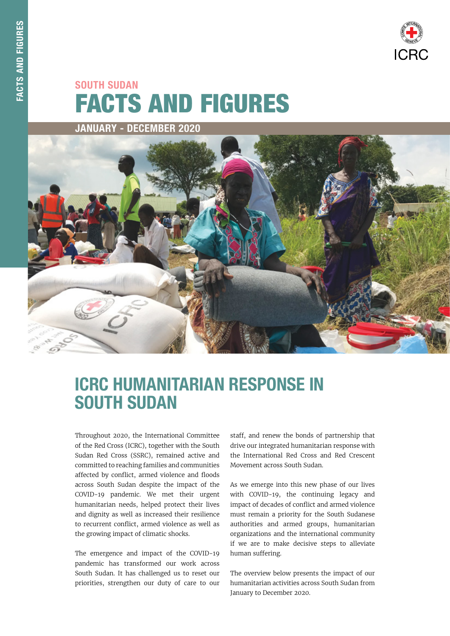

# FACTS AND FIGURES SOUTH SUDAN

JANUARY - DECEMBER 2020



## ICRC HUMANITARIAN RESPONSE IN SOUTH SUDAN

Throughout 2020, the International Committee of the Red Cross (ICRC), together with the South Sudan Red Cross (SSRC), remained active and committed to reaching families and communities affected by conflict, armed violence and floods across South Sudan despite the impact of the COVID-19 pandemic. We met their urgent humanitarian needs, helped protect their lives and dignity as well as increased their resilience to recurrent conflict, armed violence as well as the growing impact of climatic shocks.

The emergence and impact of the COVID-19 pandemic has transformed our work across South Sudan. It has challenged us to reset our priorities, strengthen our duty of care to our staff, and renew the bonds of partnership that drive our integrated humanitarian response with the International Red Cross and Red Crescent Movement across South Sudan.

As we emerge into this new phase of our lives with COVID-19, the continuing legacy and impact of decades of conflict and armed violence must remain a priority for the South Sudanese authorities and armed groups, humanitarian organizations and the international community if we are to make decisive steps to alleviate human suffering.

The overview below presents the impact of our humanitarian activities across South Sudan from January to December 2020.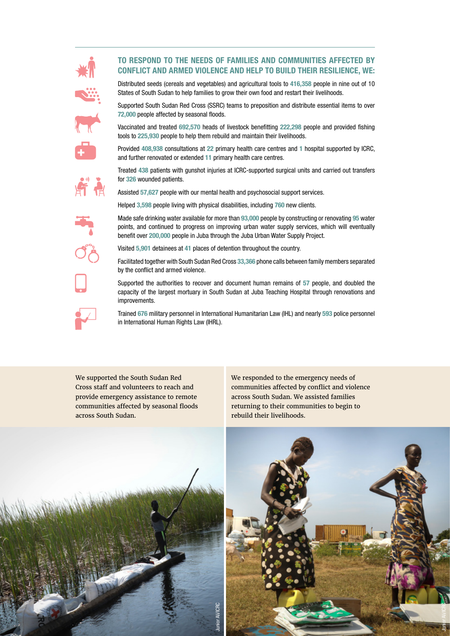### TO RESPOND TO THE NEEDS OF FAMILIES AND COMMUNITIES AFFECTED BY CONFLICT AND ARMED VIOLENCE AND HELP TO BUILD THEIR RESILIENCE, WE:









Distributed seeds (cereals and vegetables) and agricultural tools to 416,358 people in nine out of 10 States of South Sudan to help families to grow their own food and restart their livelihoods.

Supported South Sudan Red Cross (SSRC) teams to preposition and distribute essential items to over 72,000 people affected by seasonal floods.

Vaccinated and treated 692,570 heads of livestock benefitting 222,298 people and provided fishing tools to 225,930 people to help them rebuild and maintain their livelihoods.

Provided 408,938 consultations at 22 primary health care centres and 1 hospital supported by ICRC, and further renovated or extended 11 primary health care centres.

Treated 438 patients with gunshot injuries at ICRC-supported surgical units and carried out transfers for 326 wounded patients.

Assisted 57,627 people with our mental health and psychosocial support services.

Helped 3,598 people living with physical disabilities, including 760 new clients.

Made safe drinking water available for more than 93,000 people by constructing or renovating 95 water points, and continued to progress on improving urban water supply services, which will eventually benefit over 200,000 people in Juba through the Juba Urban Water Supply Project.

Visited 5,901 detainees at 41 places of detention throughout the country.

Facilitated together with South Sudan Red Cross 33,366 phone calls between family members separated by the conflict and armed violence.

Supported the authorities to recover and document human remains of 57 people, and doubled the capacity of the largest mortuary in South Sudan at Juba Teaching Hospital through renovations and improvements.

Trained 676 military personnel in International Humanitarian Law (IHL) and nearly 593 police personnel in International Human Rights Law (IHRL).

We supported the South Sudan Red Cross staff and volunteers to reach and provide emergency assistance to remote communities affected by seasonal floods across South Sudan.

We responded to the emergency needs of communities affected by conflict and violence across South Sudan. We assisted families returning to their communities to begin to rebuild their livelihoods.



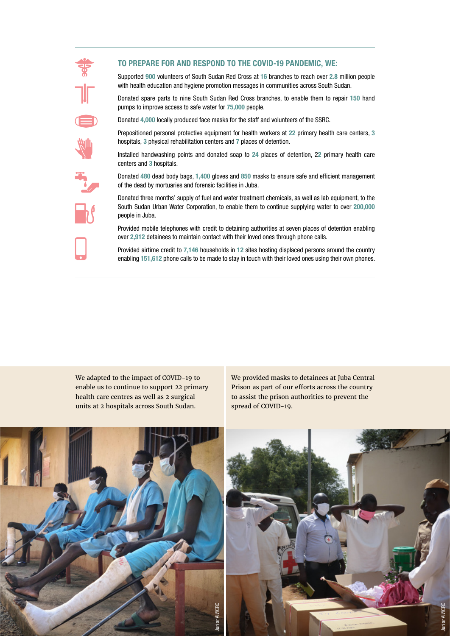

### TO PREPARE FOR AND RESPOND TO THE COVID-19 PANDEMIC, WE:

Supported 900 volunteers of South Sudan Red Cross at 16 branches to reach over 2.8 million people with health education and hygiene promotion messages in communities across South Sudan.

Donated spare parts to nine South Sudan Red Cross branches, to enable them to repair 150 hand pumps to improve access to safe water for 75,000 people.

Donated 4,000 locally produced face masks for the staff and volunteers of the SSRC.

Prepositioned personal protective equipment for health workers at 22 primary health care centers, 3 hospitals, 3 physical rehabilitation centers and 7 places of detention.

Installed handwashing points and donated soap to 24 places of detention, 22 primary health care centers and 3 hospitals.

Donated 480 dead body bags, 1,400 gloves and 850 masks to ensure safe and efficient management of the dead by mortuaries and forensic facilities in Juba.

Donated three months' supply of fuel and water treatment chemicals, as well as lab equipment, to the South Sudan Urban Water Corporation, to enable them to continue supplying water to over 200,000 people in Juba.

Provided mobile telephones with credit to detaining authorities at seven places of detention enabling over 2,912 detainees to maintain contact with their loved ones through phone calls.

Provided airtime credit to 7,146 households in 12 sites hosting displaced persons around the country enabling 151,612 phone calls to be made to stay in touch with their loved ones using their own phones.

We adapted to the impact of COVID-19 to enable us to continue to support 22 primary health care centres as well as 2 surgical units at 2 hospitals across South Sudan.

We provided masks to detainees at Juba Central Prison as part of our efforts across the country to assist the prison authorities to prevent the spread of COVID-19.